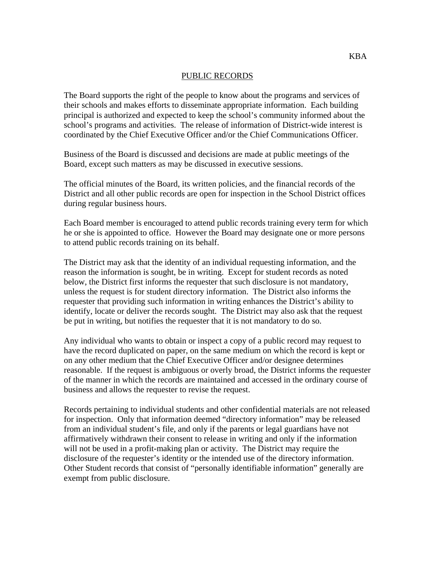## PUBLIC RECORDS

The Board supports the right of the people to know about the programs and services of their schools and makes efforts to disseminate appropriate information. Each building principal is authorized and expected to keep the school's community informed about the school's programs and activities. The release of information of District-wide interest is coordinated by the Chief Executive Officer and/or the Chief Communications Officer.

Business of the Board is discussed and decisions are made at public meetings of the Board, except such matters as may be discussed in executive sessions.

The official minutes of the Board, its written policies, and the financial records of the District and all other public records are open for inspection in the School District offices during regular business hours.

Each Board member is encouraged to attend public records training every term for which he or she is appointed to office. However the Board may designate one or more persons to attend public records training on its behalf.

The District may ask that the identity of an individual requesting information, and the reason the information is sought, be in writing. Except for student records as noted below, the District first informs the requester that such disclosure is not mandatory, unless the request is for student directory information. The District also informs the requester that providing such information in writing enhances the District's ability to identify, locate or deliver the records sought. The District may also ask that the request be put in writing, but notifies the requester that it is not mandatory to do so.

Any individual who wants to obtain or inspect a copy of a public record may request to have the record duplicated on paper, on the same medium on which the record is kept or on any other medium that the Chief Executive Officer and/or designee determines reasonable. If the request is ambiguous or overly broad, the District informs the requester of the manner in which the records are maintained and accessed in the ordinary course of business and allows the requester to revise the request.

Records pertaining to individual students and other confidential materials are not released for inspection. Only that information deemed "directory information" may be released from an individual student's file, and only if the parents or legal guardians have not affirmatively withdrawn their consent to release in writing and only if the information will not be used in a profit-making plan or activity. The District may require the disclosure of the requester's identity or the intended use of the directory information. Other Student records that consist of "personally identifiable information" generally are exempt from public disclosure.